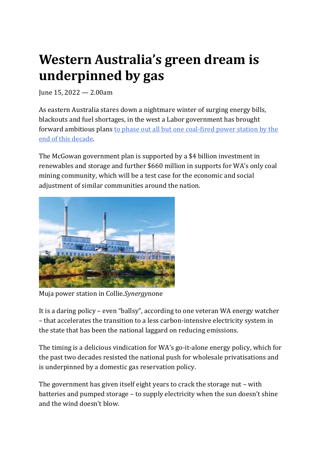## **Western Australia's green dream is underpinned by gas**

June 15, 2022 — 2.00am

As eastern Australia stares down a nightmare winter of surging energy bills, blackouts and fuel shortages, in the west a Labor government has brought forward ambitious plans [to phase out all but one coal-fired power](https://www.watoday.com.au/politics/western-australia/wa-owned-coal-fired-power-stations-to-close-20220614-p5atk6.html) station by the [end of this decade.](https://www.watoday.com.au/politics/western-australia/wa-owned-coal-fired-power-stations-to-close-20220614-p5atk6.html)

The McGowan government plan is supported by a \$4 billion investment in renewables and storage and further \$660 million in supports for WA's only coal mining community, which will be a test case for the economic and social adjustment of similar communities around the nation.



Muja power station in Collie.*Synergy*none

It is a daring policy – even "ballsy", according to one veteran WA energy watcher – that accelerates the transition to a less carbon-intensive electricity system in the state that has been the national laggard on reducing emissions.

The timing is a delicious vindication for WA's go-it-alone energy policy, which for the past two decades resisted the national push for wholesale privatisations and is underpinned by a domestic gas reservation policy.

The government has given itself eight years to crack the storage nut – with batteries and pumped storage – to supply electricity when the sun doesn't shine and the wind doesn't blow.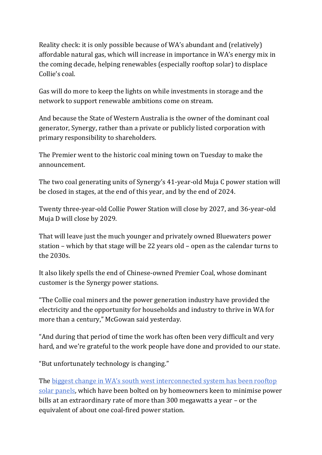Reality check: it is only possible because of WA's abundant and (relatively) affordable natural gas, which will increase in importance in WA's energy mix in the coming decade, helping renewables (especially rooftop solar) to displace Collie's coal.

Gas will do more to keep the lights on while investments in storage and the network to support renewable ambitions come on stream.

And because the State of Western Australia is the owner of the dominant coal generator, Synergy, rather than a private or publicly listed corporation with primary responsibility to shareholders.

The Premier went to the historic coal mining town on Tuesday to make the announcement.

The two coal generating units of Synergy's 41-year-old Muja C power station will be closed in stages, at the end of this year, and by the end of 2024.

Twenty three-year-old Collie Power Station will close by 2027, and 36-year-old Muja D will close by 2029.

That will leave just the much younger and privately owned Bluewaters power station – which by that stage will be 22 years old – open as the calendar turns to the 2030s.

It also likely spells the end of Chinese-owned Premier Coal, whose dominant customer is the Synergy power stations.

"The Collie coal miners and the power generation industry have provided the electricity and the opportunity for households and industry to thrive in WA for more than a century," McGowan said yesterday.

"And during that period of time the work has often been very difficult and very hard, and we're grateful to the work people have done and provided to our state.

"But unfortunately technology is changing."

The [biggest change in WA's south west interconnected system has been rooftop](https://www.watoday.com.au/national/western-australia/wa-the-only-state-to-have-increased-emissions-since-2005-as-people-power-sees-surge-in-solar-20211116-p599ii.html)  [solar panels,](https://www.watoday.com.au/national/western-australia/wa-the-only-state-to-have-increased-emissions-since-2005-as-people-power-sees-surge-in-solar-20211116-p599ii.html) which have been bolted on by homeowners keen to minimise power bills at an extraordinary rate of more than 300 megawatts a year – or the equivalent of about one coal-fired power station.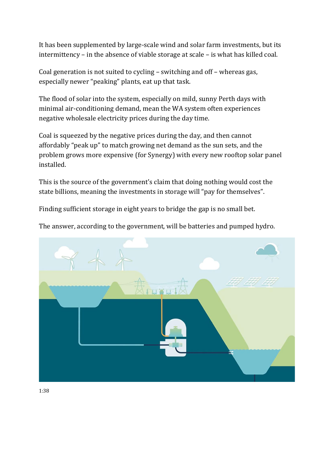It has been supplemented by large-scale wind and solar farm investments, but its intermittency – in the absence of viable storage at scale – is what has killed coal.

Coal generation is not suited to cycling – switching and off – whereas gas, especially newer "peaking" plants, eat up that task.

The flood of solar into the system, especially on mild, sunny Perth days with minimal air-conditioning demand, mean the WA system often experiences negative wholesale electricity prices during the day time.

Coal is squeezed by the negative prices during the day, and then cannot affordably "peak up" to match growing net demand as the sun sets, and the problem grows more expensive (for Synergy) with every new rooftop solar panel installed.

This is the source of the government's claim that doing nothing would cost the state billions, meaning the investments in storage will "pay for themselves".

Finding sufficient storage in eight years to bridge the gap is no small bet.

The answer, according to the government, will be batteries and pumped hydro.

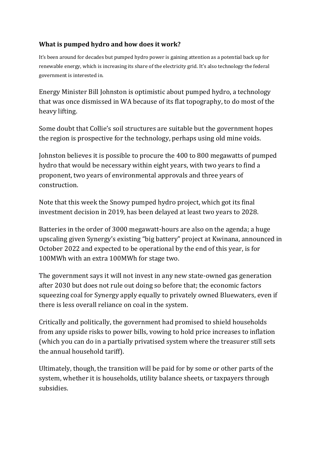## **What is pumped hydro and how does it work?**

It's been around for decades but pumped hydro power is gaining attention as a potential back up for renewable energy, which is increasing its share of the electricity grid. It's also technology the federal government is interested in.

Energy Minister Bill Johnston is optimistic about pumped hydro, a technology that was once dismissed in WA because of its flat topography, to do most of the heavy lifting.

Some doubt that Collie's soil structures are suitable but the government hopes the region is prospective for the technology, perhaps using old mine voids.

Johnston believes it is possible to procure the 400 to 800 megawatts of pumped hydro that would be necessary within eight years, with two years to find a proponent, two years of environmental approvals and three years of construction.

Note that this week the Snowy pumped hydro project, which got its final investment decision in 2019, has been delayed at least two years to 2028.

Batteries in the order of 3000 megawatt-hours are also on the agenda; a huge upscaling given Synergy's existing "big battery" project at Kwinana, announced in October 2022 and expected to be operational by the end of this year, is for 100MWh with an extra 100MWh for stage two.

The government says it will not invest in any new state-owned gas generation after 2030 but does not rule out doing so before that; the economic factors squeezing coal for Synergy apply equally to privately owned Bluewaters, even if there is less overall reliance on coal in the system.

Critically and politically, the government had promised to shield households from any upside risks to power bills, vowing to hold price increases to inflation (which you can do in a partially privatised system where the treasurer still sets the annual household tariff).

Ultimately, though, the transition will be paid for by some or other parts of the system, whether it is households, utility balance sheets, or taxpayers through subsidies.